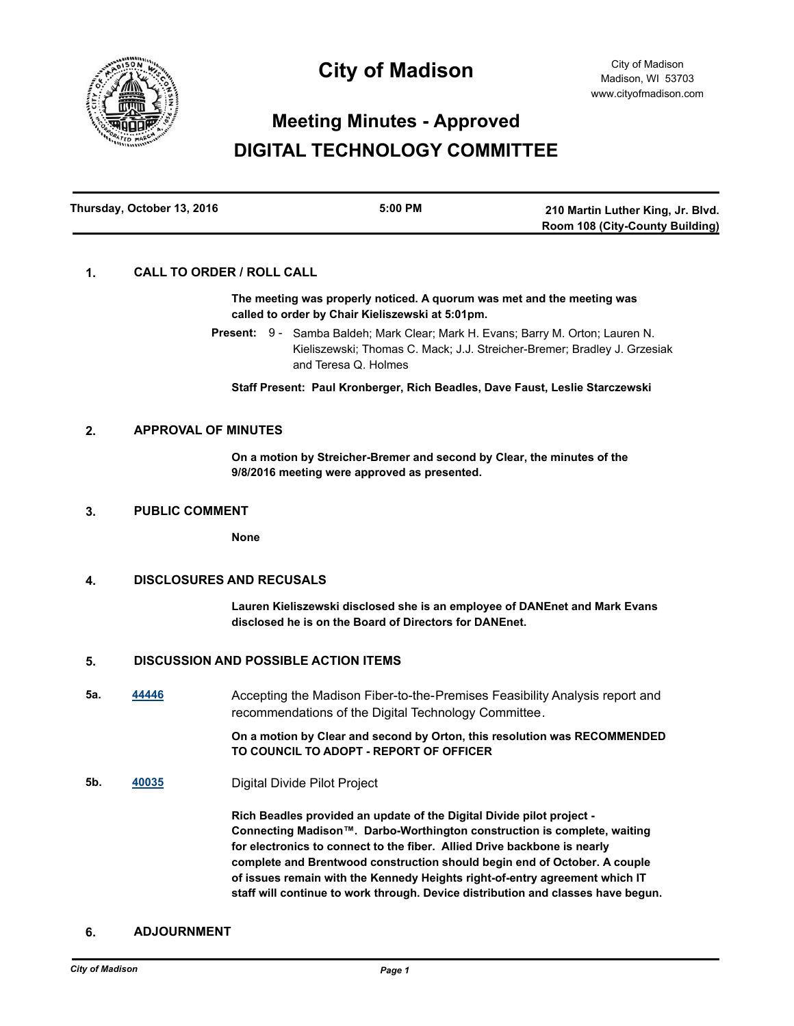

## **City of Madison**

# **Meeting Minutes - Approved DIGITAL TECHNOLOGY COMMITTEE**

| Thursday, October 13, 2016 | $5:00$ PM | 210 Martin Luther King, Jr. Blvd.      |
|----------------------------|-----------|----------------------------------------|
|                            |           | <b>Room 108 (City-County Building)</b> |

## **1. CALL TO ORDER / ROLL CALL**

**The meeting was properly noticed. A quorum was met and the meeting was called to order by Chair Kieliszewski at 5:01pm.**

Present: 9 - Samba Baldeh; Mark Clear; Mark H. Evans; Barry M. Orton; Lauren N. Kieliszewski; Thomas C. Mack; J.J. Streicher-Bremer; Bradley J. Grzesiak and Teresa Q. Holmes

**Staff Present: Paul Kronberger, Rich Beadles, Dave Faust, Leslie Starczewski**

## **2. APPROVAL OF MINUTES**

**On a motion by Streicher-Bremer and second by Clear, the minutes of the 9/8/2016 meeting were approved as presented.**

#### **3. PUBLIC COMMENT**

**None**

## **4. DISCLOSURES AND RECUSALS**

**Lauren Kieliszewski disclosed she is an employee of DANEnet and Mark Evans disclosed he is on the Board of Directors for DANEnet.**

#### **5. DISCUSSION AND POSSIBLE ACTION ITEMS**

**5a. [44446](http://madison.legistar.com/gateway.aspx?m=l&id=/matter.aspx?key=48616)** Accepting the Madison Fiber-to-the-Premises Feasibility Analysis report and recommendations of the Digital Technology Committee.

#### **On a motion by Clear and second by Orton, this resolution was RECOMMENDED TO COUNCIL TO ADOPT - REPORT OF OFFICER**

**5b. [40035](http://madison.legistar.com/gateway.aspx?m=l&id=/matter.aspx?key=43579)** Digital Divide Pilot Project

**Rich Beadles provided an update of the Digital Divide pilot project - Connecting Madison™. Darbo-Worthington construction is complete, waiting for electronics to connect to the fiber. Allied Drive backbone is nearly complete and Brentwood construction should begin end of October. A couple of issues remain with the Kennedy Heights right-of-entry agreement which IT staff will continue to work through. Device distribution and classes have begun.**

### **6. ADJOURNMENT**